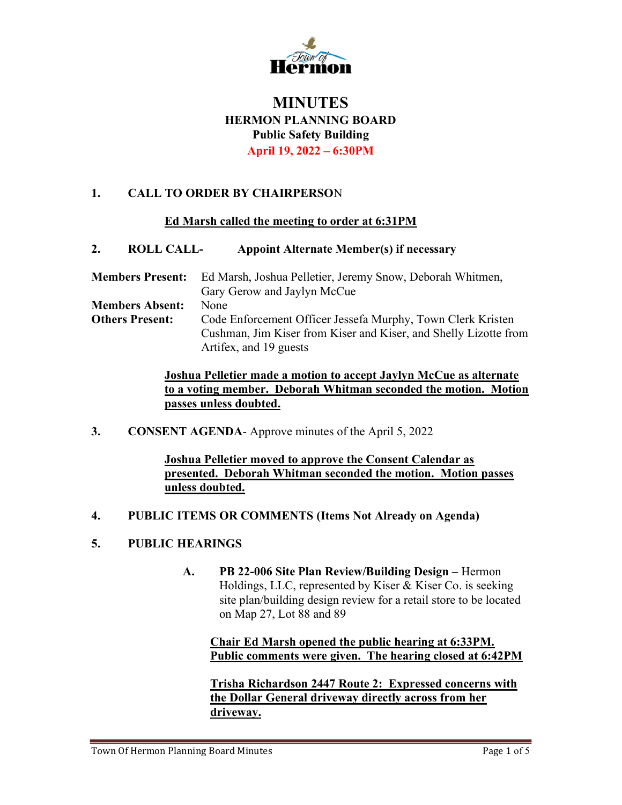

# **MINUTES** HERMON PLANNING BOARD Public Safety Building April 19, 2022 – 6:30PM

## 1. CALL TO ORDER BY CHAIRPERSON

#### Ed Marsh called the meeting to order at 6:31PM

#### 2. ROLL CALL- Appoint Alternate Member(s) if necessary

| <b>Members Present:</b> | Ed Marsh, Joshua Pelletier, Jeremy Snow, Deborah Whitmen,        |
|-------------------------|------------------------------------------------------------------|
|                         | Gary Gerow and Jaylyn McCue                                      |
| <b>Members Absent:</b>  | None                                                             |
| <b>Others Present:</b>  | Code Enforcement Officer Jessefa Murphy, Town Clerk Kristen      |
|                         | Cushman, Jim Kiser from Kiser and Kiser, and Shelly Lizotte from |
|                         | Artifex, and 19 guests                                           |

Joshua Pelletier made a motion to accept Jaylyn McCue as alternate to a voting member. Deborah Whitman seconded the motion. Motion passes unless doubted.

3. CONSENT AGENDA- Approve minutes of the April 5, 2022

Joshua Pelletier moved to approve the Consent Calendar as presented. Deborah Whitman seconded the motion. Motion passes unless doubted.

4. PUBLIC ITEMS OR COMMENTS (Items Not Already on Agenda)

### 5. PUBLIC HEARINGS

A. PB 22-006 Site Plan Review/Building Design – Hermon Holdings, LLC, represented by Kiser & Kiser Co. is seeking site plan/building design review for a retail store to be located on Map 27, Lot 88 and 89

Chair Ed Marsh opened the public hearing at 6:33PM. Public comments were given. The hearing closed at 6:42PM

Trisha Richardson 2447 Route 2: Expressed concerns with the Dollar General driveway directly across from her driveway.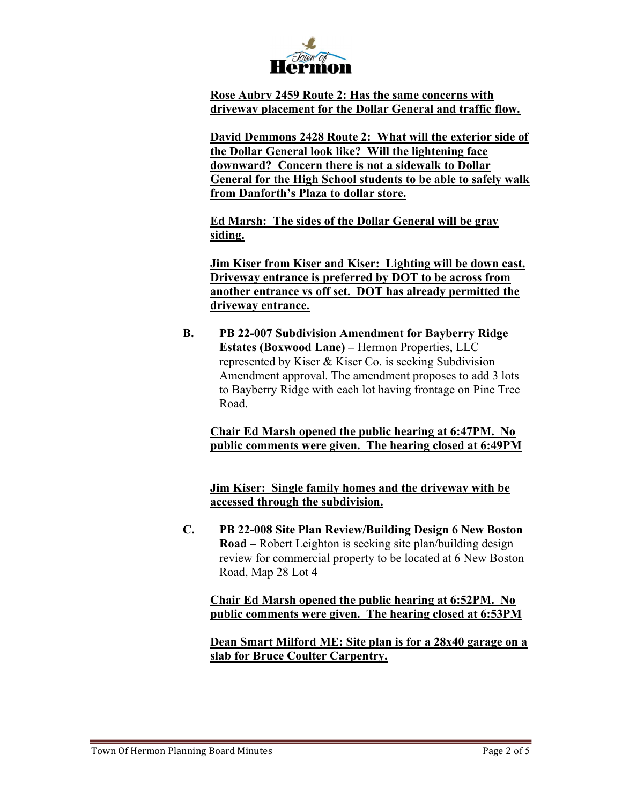

Rose Aubry 2459 Route 2: Has the same concerns with driveway placement for the Dollar General and traffic flow.

David Demmons 2428 Route 2: What will the exterior side of the Dollar General look like? Will the lightening face downward? Concern there is not a sidewalk to Dollar General for the High School students to be able to safely walk from Danforth's Plaza to dollar store.

Ed Marsh: The sides of the Dollar General will be gray siding.

Jim Kiser from Kiser and Kiser: Lighting will be down cast. Driveway entrance is preferred by DOT to be across from another entrance vs off set. DOT has already permitted the driveway entrance.

B. PB 22-007 Subdivision Amendment for Bayberry Ridge Estates (Boxwood Lane) – Hermon Properties, LLC represented by Kiser & Kiser Co. is seeking Subdivision Amendment approval. The amendment proposes to add 3 lots to Bayberry Ridge with each lot having frontage on Pine Tree Road.

Chair Ed Marsh opened the public hearing at 6:47PM. No public comments were given. The hearing closed at 6:49PM

Jim Kiser: Single family homes and the driveway with be accessed through the subdivision.

C. PB 22-008 Site Plan Review/Building Design 6 New Boston Road – Robert Leighton is seeking site plan/building design review for commercial property to be located at 6 New Boston Road, Map 28 Lot 4

## Chair Ed Marsh opened the public hearing at 6:52PM. No public comments were given. The hearing closed at 6:53PM

Dean Smart Milford ME: Site plan is for a 28x40 garage on a slab for Bruce Coulter Carpentry.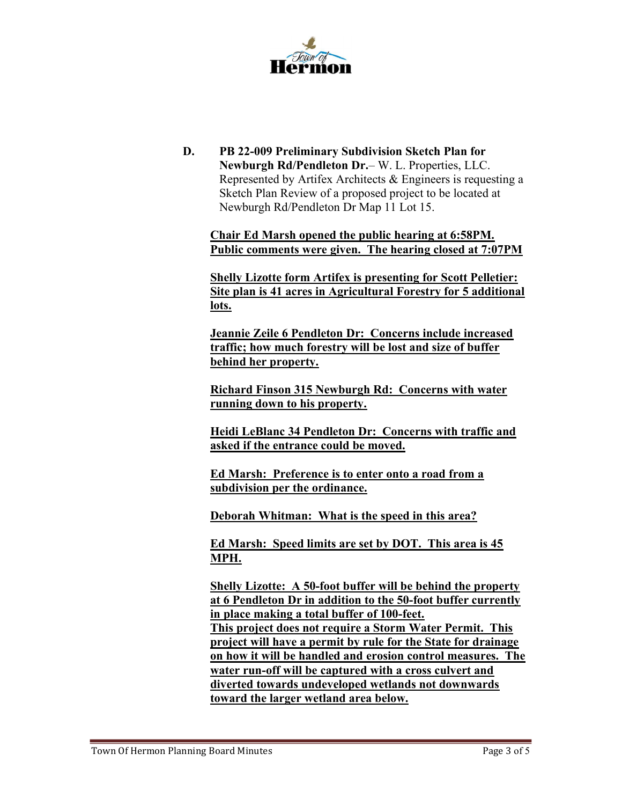

D. PB 22-009 Preliminary Subdivision Sketch Plan for Newburgh Rd/Pendleton Dr.– W. L. Properties, LLC. Represented by Artifex Architects & Engineers is requesting a Sketch Plan Review of a proposed project to be located at Newburgh Rd/Pendleton Dr Map 11 Lot 15.

Chair Ed Marsh opened the public hearing at 6:58PM. Public comments were given. The hearing closed at 7:07PM

Shelly Lizotte form Artifex is presenting for Scott Pelletier: Site plan is 41 acres in Agricultural Forestry for 5 additional lots.

Jeannie Zeile 6 Pendleton Dr: Concerns include increased traffic; how much forestry will be lost and size of buffer behind her property.

Richard Finson 315 Newburgh Rd: Concerns with water running down to his property.

Heidi LeBlanc 34 Pendleton Dr: Concerns with traffic and asked if the entrance could be moved.

Ed Marsh: Preference is to enter onto a road from a subdivision per the ordinance.

Deborah Whitman: What is the speed in this area?

Ed Marsh: Speed limits are set by DOT. This area is 45 MPH.

Shelly Lizotte: A 50-foot buffer will be behind the property at 6 Pendleton Dr in addition to the 50-foot buffer currently in place making a total buffer of 100-feet. This project does not require a Storm Water Permit. This project will have a permit by rule for the State for drainage on how it will be handled and erosion control measures. The water run-off will be captured with a cross culvert and diverted towards undeveloped wetlands not downwards toward the larger wetland area below.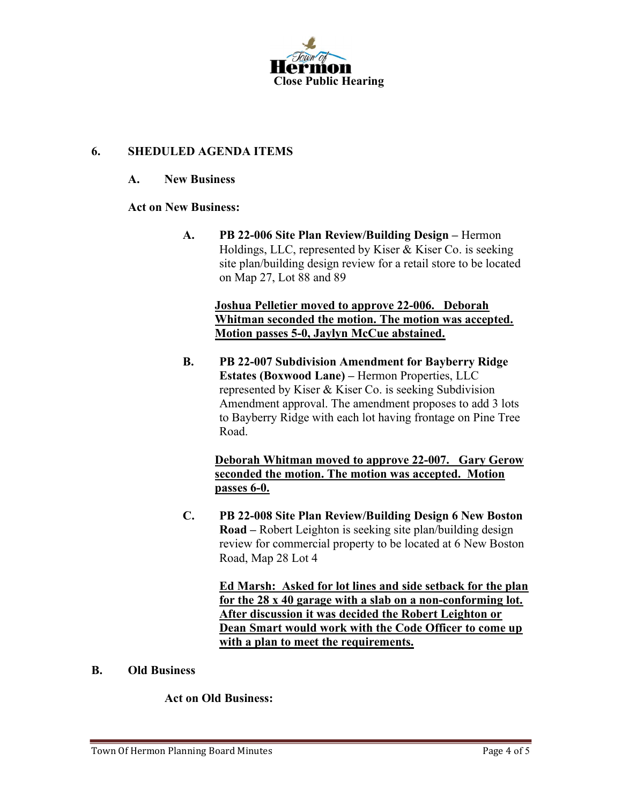

## 6. SHEDULED AGENDA ITEMS

#### A. New Business

#### Act on New Business:

A. PB 22-006 Site Plan Review/Building Design – Hermon Holdings, LLC, represented by Kiser & Kiser Co. is seeking site plan/building design review for a retail store to be located on Map 27, Lot 88 and 89

### Joshua Pelletier moved to approve 22-006. Deborah Whitman seconded the motion. The motion was accepted. Motion passes 5-0, Jaylyn McCue abstained.

B. PB 22-007 Subdivision Amendment for Bayberry Ridge Estates (Boxwood Lane) – Hermon Properties, LLC represented by Kiser & Kiser Co. is seeking Subdivision Amendment approval. The amendment proposes to add 3 lots to Bayberry Ridge with each lot having frontage on Pine Tree Road.

Deborah Whitman moved to approve 22-007. Gary Gerow seconded the motion. The motion was accepted. Motion passes 6-0.

C. PB 22-008 Site Plan Review/Building Design 6 New Boston Road – Robert Leighton is seeking site plan/building design review for commercial property to be located at 6 New Boston Road, Map 28 Lot 4

> Ed Marsh: Asked for lot lines and side setback for the plan for the 28 x 40 garage with a slab on a non-conforming lot. After discussion it was decided the Robert Leighton or Dean Smart would work with the Code Officer to come up with a plan to meet the requirements.

#### B. Old Business

#### Act on Old Business: